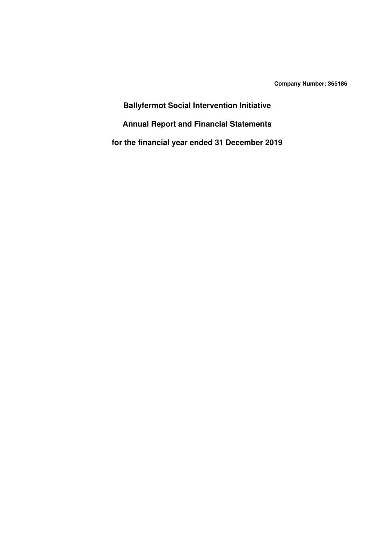**Company Number: 365186**

**Ballyfermot Social Intervention Initiative Annual Report and Financial Statements for the financial year ended 31 December 2019**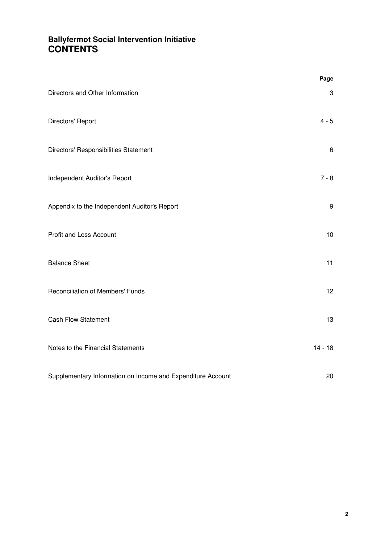## **Ballyfermot Social Intervention Initiative CONTENTS**

|                                                             | Page            |
|-------------------------------------------------------------|-----------------|
| Directors and Other Information                             | 3               |
| Directors' Report                                           | $4 - 5$         |
| Directors' Responsibilities Statement                       | 6               |
| Independent Auditor's Report                                | $7 - 8$         |
| Appendix to the Independent Auditor's Report                | 9               |
| Profit and Loss Account                                     | 10 <sub>1</sub> |
| <b>Balance Sheet</b>                                        | 11              |
| Reconciliation of Members' Funds                            | 12 <sub>2</sub> |
| <b>Cash Flow Statement</b>                                  | 13              |
| Notes to the Financial Statements                           | $14 - 18$       |
| Supplementary Information on Income and Expenditure Account | 20              |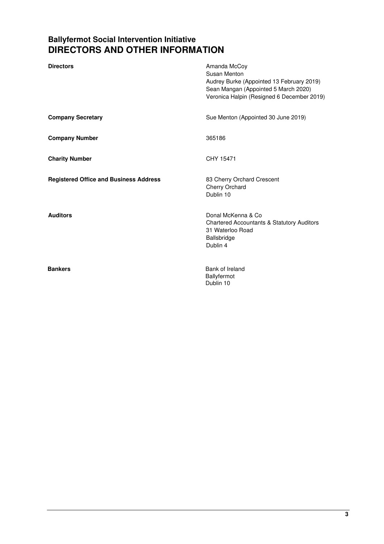## **Ballyfermot Social Intervention Initiative DIRECTORS AND OTHER INFORMATION**

| <b>Directors</b>                              | Amanda McCoy<br>Susan Menton<br>Audrey Burke (Appointed 13 February 2019)<br>Sean Mangan (Appointed 5 March 2020)<br>Veronica Halpin (Resigned 6 December 2019) |
|-----------------------------------------------|-----------------------------------------------------------------------------------------------------------------------------------------------------------------|
| <b>Company Secretary</b>                      | Sue Menton (Appointed 30 June 2019)                                                                                                                             |
| <b>Company Number</b>                         | 365186                                                                                                                                                          |
| <b>Charity Number</b>                         | CHY 15471                                                                                                                                                       |
| <b>Registered Office and Business Address</b> | 83 Cherry Orchard Crescent<br>Cherry Orchard<br>Dublin 10                                                                                                       |
| <b>Auditors</b>                               | Donal McKenna & Co<br><b>Chartered Accountants &amp; Statutory Auditors</b><br>31 Waterloo Road<br><b>Ballsbridge</b><br>Dublin 4                               |
| <b>Bankers</b>                                | Bank of Ireland<br>Ballyfermot<br>Dublin 10                                                                                                                     |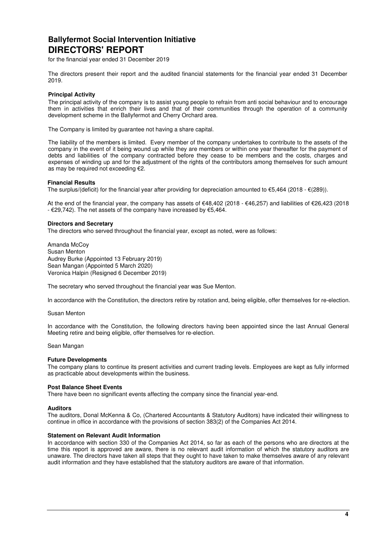## **Ballyfermot Social Intervention Initiative DIRECTORS' REPORT**

for the financial year ended 31 December 2019

The directors present their report and the audited financial statements for the financial year ended 31 December 2019.

#### **Principal Activity**

The principal activity of the company is to assist young people to refrain from anti social behaviour and to encourage them in activities that enrich their lives and that of their communities through the operation of a community development scheme in the Ballyfermot and Cherry Orchard area.

The Company is limited by guarantee not having a share capital.

The liability of the members is limited. Every member of the company undertakes to contribute to the assets of the company in the event of it being wound up while they are members or within one year thereafter for the payment of debts and liabilities of the company contracted before they cease to be members and the costs, charges and expenses of winding up and for the adjustment of the rights of the contributors among themselves for such amount as may be required not exceeding €2.

#### **Financial Results**

The surplus/(deficit) for the financial year after providing for depreciation amounted to  $\epsilon$ 5,464 (2018 -  $\epsilon$ (289)).

At the end of the financial year, the company has assets of €48,402 (2018 - €46,257) and liabilities of €26,423 (2018 - €29,742). The net assets of the company have increased by €5,464.

#### **Directors and Secretary**

The directors who served throughout the financial year, except as noted, were as follows:

Amanda McCoy Susan Menton Audrey Burke (Appointed 13 February 2019) Sean Mangan (Appointed 5 March 2020) Veronica Halpin (Resigned 6 December 2019)

The secretary who served throughout the financial year was Sue Menton.

In accordance with the Constitution, the directors retire by rotation and, being eligible, offer themselves for re-election.

#### Susan Menton

In accordance with the Constitution, the following directors having been appointed since the last Annual General Meeting retire and being eligible, offer themselves for re-election.

Sean Mangan

#### **Future Developments**

The company plans to continue its present activities and current trading levels. Employees are kept as fully informed as practicable about developments within the business.

#### **Post Balance Sheet Events**

There have been no significant events affecting the company since the financial year-end.

#### **Auditors**

The auditors, Donal McKenna & Co, (Chartered Accountants & Statutory Auditors) have indicated their willingness to continue in office in accordance with the provisions of section 383(2) of the Companies Act 2014.

#### **Statement on Relevant Audit Information**

In accordance with section 330 of the Companies Act 2014, so far as each of the persons who are directors at the time this report is approved are aware, there is no relevant audit information of which the statutory auditors are unaware. The directors have taken all steps that they ought to have taken to make themselves aware of any relevant audit information and they have established that the statutory auditors are aware of that information.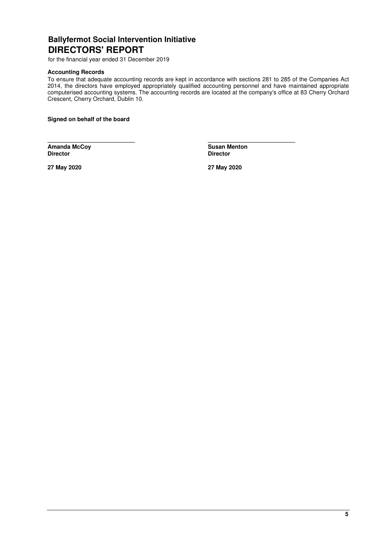## **Ballyfermot Social Intervention Initiative DIRECTORS' REPORT**

for the financial year ended 31 December 2019

#### **Accounting Records**

To ensure that adequate accounting records are kept in accordance with sections 281 to 285 of the Companies Act 2014, the directors have employed appropriately qualified accounting personnel and have maintained appropriate computerised accounting systems. The accounting records are located at the company's office at 83 Cherry Orchard Crescent, Cherry Orchard, Dublin 10.

**\_\_\_\_\_\_\_\_\_\_\_\_\_\_\_\_\_\_\_\_\_\_\_\_\_\_\_ \_\_\_\_\_\_\_\_\_\_\_\_\_\_\_\_\_\_\_\_\_\_\_\_\_\_\_**

**Signed on behalf of the board**

**Amanda McCoy Susan Menton Director Director**

**27 May 2020 27 May 2020**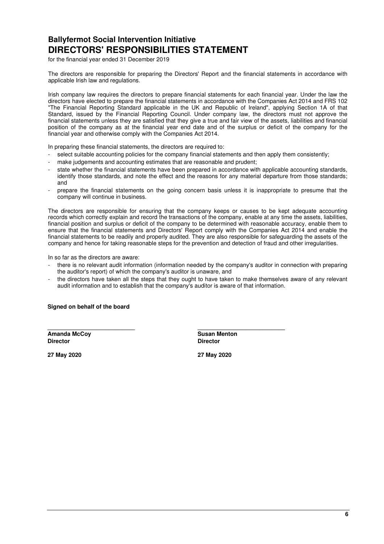## **Ballyfermot Social Intervention Initiative DIRECTORS' RESPONSIBILITIES STATEMENT**

for the financial year ended 31 December 2019

The directors are responsible for preparing the Directors' Report and the financial statements in accordance with applicable Irish law and regulations.

Irish company law requires the directors to prepare financial statements for each financial year. Under the law the directors have elected to prepare the financial statements in accordance with the Companies Act 2014 and FRS 102 "The Financial Reporting Standard applicable in the UK and Republic of Ireland", applying Section 1A of that Standard, issued by the Financial Reporting Council. Under company law, the directors must not approve the financial statements unless they are satisfied that they give a true and fair view of the assets, liabilities and financial position of the company as at the financial year end date and of the surplus or deficit of the company for the financial year and otherwise comply with the Companies Act 2014.

In preparing these financial statements, the directors are required to:

- select suitable accounting policies for the company financial statements and then apply them consistently;
- make judgements and accounting estimates that are reasonable and prudent;
- state whether the financial statements have been prepared in accordance with applicable accounting standards, identify those standards, and note the effect and the reasons for any material departure from those standards; and
- prepare the financial statements on the going concern basis unless it is inappropriate to presume that the company will continue in business.

The directors are responsible for ensuring that the company keeps or causes to be kept adequate accounting records which correctly explain and record the transactions of the company, enable at any time the assets, liabilities, financial position and surplus or deficit of the company to be determined with reasonable accuracy, enable them to ensure that the financial statements and Directors' Report comply with the Companies Act 2014 and enable the financial statements to be readily and properly audited. They are also responsible for safeguarding the assets of the company and hence for taking reasonable steps for the prevention and detection of fraud and other irregularities.

In so far as the directors are aware:

- there is no relevant audit information (information needed by the company's auditor in connection with preparing the auditor's report) of which the company's auditor is unaware, and
- the directors have taken all the steps that they ought to have taken to make themselves aware of any relevant audit information and to establish that the company's auditor is aware of that information.

**\_\_\_\_\_\_\_\_\_\_\_\_\_\_\_\_\_\_\_\_\_\_\_\_\_\_\_ \_\_\_\_\_\_\_\_\_\_\_\_\_\_\_\_\_\_\_\_\_\_\_\_\_\_\_**

#### **Signed on behalf of the board**

**Amanda McCov Susan Menton Director Director**

**27 May 2020 27 May 2020**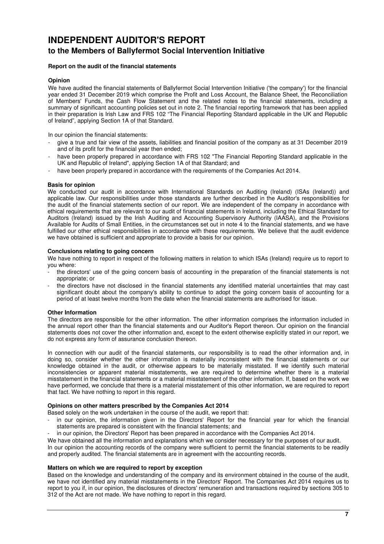### **INDEPENDENT AUDITOR'S REPORT to the Members of Ballyfermot Social Intervention Initiative**

#### **Report on the audit of the financial statements**

#### **Opinion**

We have audited the financial statements of Ballyfermot Social Intervention Initiative ('the company') for the financial year ended 31 December 2019 which comprise the Profit and Loss Account, the Balance Sheet, the Reconciliation of Members' Funds, the Cash Flow Statement and the related notes to the financial statements, including a summary of significant accounting policies set out in note 2. The financial reporting framework that has been applied in their preparation is Irish Law and FRS 102 "The Financial Reporting Standard applicable in the UK and Republic of Ireland", applying Section 1A of that Standard.

In our opinion the financial statements:

- give a true and fair view of the assets, liabilities and financial position of the company as at 31 December 2019 and of its profit for the financial year then ended;
- have been properly prepared in accordance with FRS 102 "The Financial Reporting Standard applicable in the UK and Republic of Ireland", applying Section 1A of that Standard; and
- have been properly prepared in accordance with the requirements of the Companies Act 2014.

#### **Basis for opinion**

We conducted our audit in accordance with International Standards on Auditing (Ireland) (ISAs (Ireland)) and applicable law. Our responsibilities under those standards are further described in the Auditor's responsibilities for the audit of the financial statements section of our report. We are independent of the company in accordance with ethical requirements that are relevant to our audit of financial statements in Ireland, including the Ethical Standard for Auditors (Ireland) issued by the Irish Auditing and Accounting Supervisory Authority (IAASA), and the Provisions Available for Audits of Small Entities, in the circumstances set out in note 4 to the financial statements, and we have fulfilled our other ethical responsibilities in accordance with these requirements. We believe that the audit evidence we have obtained is sufficient and appropriate to provide a basis for our opinion.

#### **Conclusions relating to going concern**

We have nothing to report in respect of the following matters in relation to which ISAs (Ireland) require us to report to you where:

- the directors' use of the going concern basis of accounting in the preparation of the financial statements is not appropriate; or
- the directors have not disclosed in the financial statements any identified material uncertainties that may cast significant doubt about the company's ability to continue to adopt the going concern basis of accounting for a period of at least twelve months from the date when the financial statements are authorised for issue.

#### **Other Information**

The directors are responsible for the other information. The other information comprises the information included in the annual report other than the financial statements and our Auditor's Report thereon. Our opinion on the financial statements does not cover the other information and, except to the extent otherwise explicitly stated in our report, we do not express any form of assurance conclusion thereon.

In connection with our audit of the financial statements, our responsibility is to read the other information and, in doing so, consider whether the other information is materially inconsistent with the financial statements or our knowledge obtained in the audit, or otherwise appears to be materially misstated. If we identify such material inconsistencies or apparent material misstatements, we are required to determine whether there is a material misstatement in the financial statements or a material misstatement of the other information. If, based on the work we have performed, we conclude that there is a material misstatement of this other information, we are required to report that fact. We have nothing to report in this regard.

#### **Opinions on other matters prescribed by the Companies Act 2014**

Based solely on the work undertaken in the course of the audit, we report that:

- in our opinion, the information given in the Directors' Report for the financial year for which the financial statements are prepared is consistent with the financial statements; and
- in our opinion, the Directors' Report has been prepared in accordance with the Companies Act 2014.

We have obtained all the information and explanations which we consider necessary for the purposes of our audit. In our opinion the accounting records of the company were sufficient to permit the financial statements to be readily and properly audited. The financial statements are in agreement with the accounting records.

#### **Matters on which we are required to report by exception**

Based on the knowledge and understanding of the company and its environment obtained in the course of the audit, we have not identified any material misstatements in the Directors' Report. The Companies Act 2014 requires us to report to you if, in our opinion, the disclosures of directors' remuneration and transactions required by sections 305 to 312 of the Act are not made. We have nothing to report in this regard.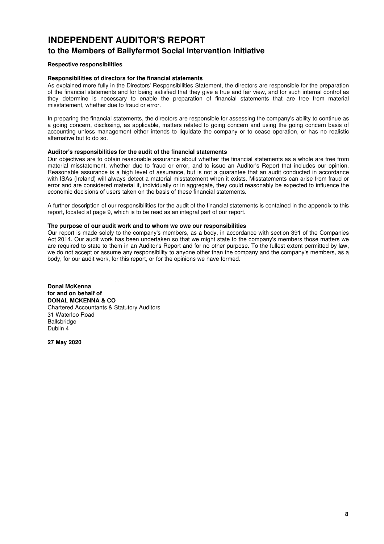### **INDEPENDENT AUDITOR'S REPORT to the Members of Ballyfermot Social Intervention Initiative**

#### **Respective responsibilities**

#### **Responsibilities of directors for the financial statements**

As explained more fully in the Directors' Responsibilities Statement, the directors are responsible for the preparation of the financial statements and for being satisfied that they give a true and fair view, and for such internal control as they determine is necessary to enable the preparation of financial statements that are free from material misstatement, whether due to fraud or error.

In preparing the financial statements, the directors are responsible for assessing the company's ability to continue as a going concern, disclosing, as applicable, matters related to going concern and using the going concern basis of accounting unless management either intends to liquidate the company or to cease operation, or has no realistic alternative but to do so.

#### **Auditor's responsibilities for the audit of the financial statements**

Our objectives are to obtain reasonable assurance about whether the financial statements as a whole are free from material misstatement, whether due to fraud or error, and to issue an Auditor's Report that includes our opinion. Reasonable assurance is a high level of assurance, but is not a guarantee that an audit conducted in accordance with ISAs (Ireland) will always detect a material misstatement when it exists. Misstatements can arise from fraud or error and are considered material if, individually or in aggregate, they could reasonably be expected to influence the economic decisions of users taken on the basis of these financial statements.

A further description of our responsibilities for the audit of the financial statements is contained in the appendix to this report, located at page 9, which is to be read as an integral part of our report.

#### **The purpose of our audit work and to whom we owe our responsibilities**

Our report is made solely to the company's members, as a body, in accordance with section 391 of the Companies Act 2014. Our audit work has been undertaken so that we might state to the company's members those matters we are required to state to them in an Auditor's Report and for no other purpose. To the fullest extent permitted by law, we do not accept or assume any responsibility to anyone other than the company and the company's members, as a body, for our audit work, for this report, or for the opinions we have formed.

**\_\_\_\_\_\_\_\_\_\_\_\_\_\_\_\_\_\_\_\_\_\_\_\_\_\_\_\_\_\_\_\_\_\_ Donal McKenna for and on behalf of DONAL MCKENNA & CO** Chartered Accountants & Statutory Auditors 31 Waterloo Road Ballsbridge Dublin 4

**27 May 2020**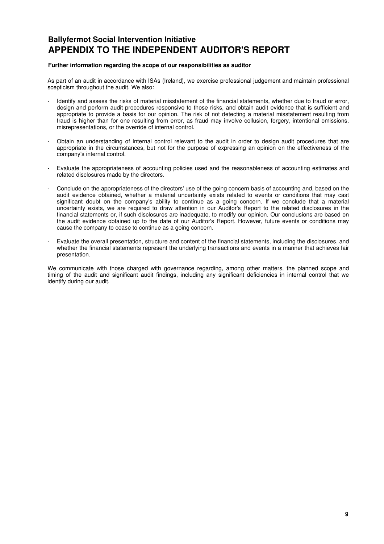## **Ballyfermot Social Intervention Initiative APPENDIX TO THE INDEPENDENT AUDITOR'S REPORT**

#### **Further information regarding the scope of our responsibilities as auditor**

As part of an audit in accordance with ISAs (Ireland), we exercise professional judgement and maintain professional scepticism throughout the audit. We also:

- Identify and assess the risks of material misstatement of the financial statements, whether due to fraud or error, design and perform audit procedures responsive to those risks, and obtain audit evidence that is sufficient and appropriate to provide a basis for our opinion. The risk of not detecting a material misstatement resulting from fraud is higher than for one resulting from error, as fraud may involve collusion, forgery, intentional omissions, misrepresentations, or the override of internal control.
- Obtain an understanding of internal control relevant to the audit in order to design audit procedures that are appropriate in the circumstances, but not for the purpose of expressing an opinion on the effectiveness of the company's internal control.
- Evaluate the appropriateness of accounting policies used and the reasonableness of accounting estimates and related disclosures made by the directors.
- Conclude on the appropriateness of the directors' use of the going concern basis of accounting and, based on the audit evidence obtained, whether a material uncertainty exists related to events or conditions that may cast significant doubt on the company's ability to continue as a going concern. If we conclude that a material uncertainty exists, we are required to draw attention in our Auditor's Report to the related disclosures in the financial statements or, if such disclosures are inadequate, to modify our opinion. Our conclusions are based on the audit evidence obtained up to the date of our Auditor's Report. However, future events or conditions may cause the company to cease to continue as a going concern.
- Evaluate the overall presentation, structure and content of the financial statements, including the disclosures, and whether the financial statements represent the underlying transactions and events in a manner that achieves fair presentation.

We communicate with those charged with governance regarding, among other matters, the planned scope and timing of the audit and significant audit findings, including any significant deficiencies in internal control that we identify during our audit.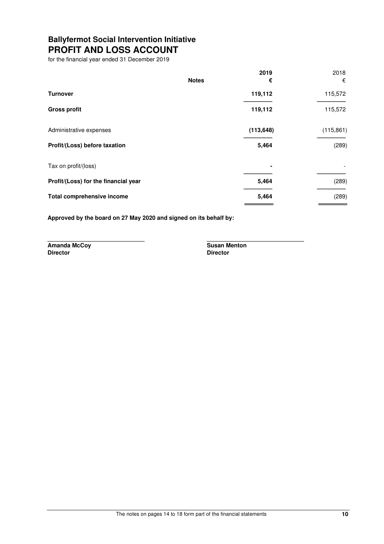# **Ballyfermot Social Intervention Initiative PROFIT AND LOSS ACCOUNT**

for the financial year ended 31 December 2019

|                                      |              | 2019       | 2018       |
|--------------------------------------|--------------|------------|------------|
|                                      | <b>Notes</b> | €          | €          |
| <b>Turnover</b>                      |              | 119,112    | 115,572    |
| <b>Gross profit</b>                  |              | 119,112    | 115,572    |
| Administrative expenses              |              | (113, 648) | (115, 861) |
| Profit/(Loss) before taxation        |              | 5,464      | (289)      |
| Tax on profit/(loss)                 |              |            |            |
| Profit/(Loss) for the financial year |              | 5,464      | (289)      |
| <b>Total comprehensive income</b>    |              | 5,464      | (289)      |
|                                      |              |            |            |

**Approved by the board on 27 May 2020 and signed on its behalf by:**

**\_\_\_\_\_\_\_\_\_\_\_\_\_\_\_\_\_\_\_\_\_\_\_\_\_\_\_\_\_\_ \_\_\_\_\_\_\_\_\_\_\_\_\_\_\_\_\_\_\_\_\_\_\_\_\_\_\_\_\_\_ Amanda McCoy Susan Menton**<br>Director **Director Director Director**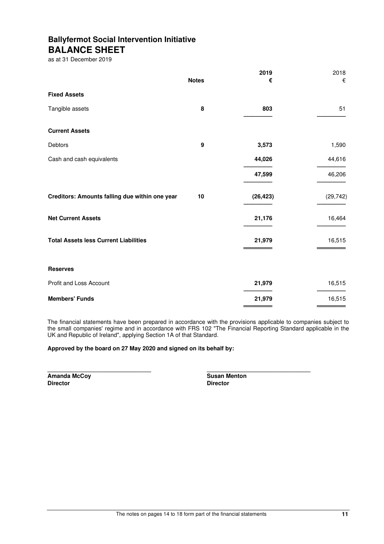## **Ballyfermot Social Intervention Initiative BALANCE SHEET**

as at 31 December 2019

|                                                | <b>Notes</b>     | 2019<br>€ | 2018<br>€ |
|------------------------------------------------|------------------|-----------|-----------|
| <b>Fixed Assets</b>                            |                  |           |           |
| Tangible assets                                | 8                | 803       | 51        |
| <b>Current Assets</b>                          |                  |           |           |
| Debtors                                        | $\boldsymbol{9}$ | 3,573     | 1,590     |
| Cash and cash equivalents                      |                  | 44,026    | 44,616    |
|                                                |                  | 47,599    | 46,206    |
| Creditors: Amounts falling due within one year | 10               | (26, 423) | (29, 742) |
| <b>Net Current Assets</b>                      |                  | 21,176    | 16,464    |
| <b>Total Assets less Current Liabilities</b>   |                  | 21,979    | 16,515    |
| <b>Reserves</b>                                |                  |           |           |
| Profit and Loss Account                        |                  | 21,979    | 16,515    |
| <b>Members' Funds</b>                          |                  | 21,979    | 16,515    |

The financial statements have been prepared in accordance with the provisions applicable to companies subject to the small companies' regime and in accordance with FRS 102 "The Financial Reporting Standard applicable in the UK and Republic of Ireland", applying Section 1A of that Standard.

**Approved by the board on 27 May 2020 and signed on its behalf by:**

**Amanda McCoy Susan Menton**<br>Director **Director Director Director**

**\_\_\_\_\_\_\_\_\_\_\_\_\_\_\_\_\_\_\_\_\_\_\_\_\_\_\_\_\_\_\_\_ \_\_\_\_\_\_\_\_\_\_\_\_\_\_\_\_\_\_\_\_\_\_\_\_\_\_\_\_\_\_\_\_**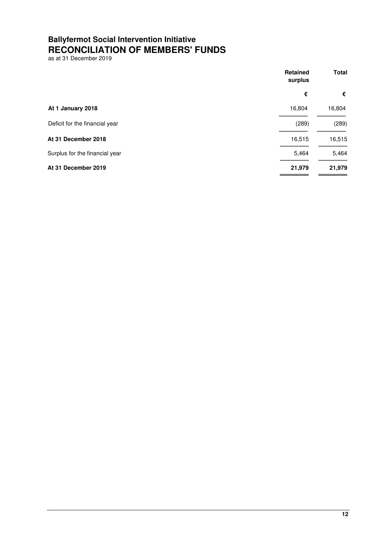# **Ballyfermot Social Intervention Initiative RECONCILIATION OF MEMBERS' FUNDS**

as at 31 December 2019

|                                | Retained<br>surplus | <b>Total</b> |  |
|--------------------------------|---------------------|--------------|--|
|                                | €                   | €            |  |
| At 1 January 2018              | 16,804              | 16,804       |  |
| Deficit for the financial year | (289)               | (289)        |  |
| At 31 December 2018            | 16,515              | 16,515       |  |
| Surplus for the financial year | 5,464               | 5,464        |  |
| At 31 December 2019            | 21,979              | 21,979       |  |
|                                |                     |              |  |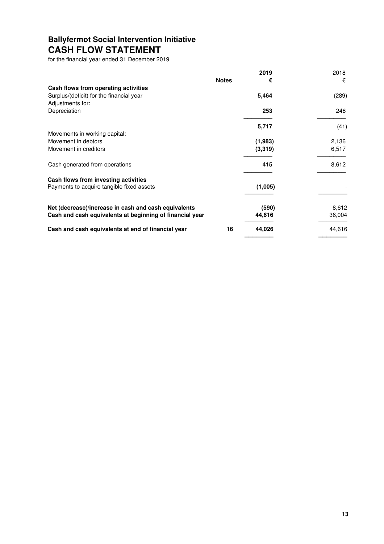# **Ballyfermot Social Intervention Initiative CASH FLOW STATEMENT**

for the financial year ended 31 December 2019

|                                                          |              | 2019    | 2018   |
|----------------------------------------------------------|--------------|---------|--------|
|                                                          | <b>Notes</b> | €       | €      |
| Cash flows from operating activities                     |              |         |        |
| Surplus/(deficit) for the financial year                 |              | 5,464   | (289)  |
| Adjustments for:                                         |              |         |        |
| Depreciation                                             |              | 253     | 248    |
|                                                          |              | 5,717   | (41)   |
| Movements in working capital:                            |              |         |        |
| Movement in debtors                                      |              | (1,983) | 2,136  |
| Movement in creditors                                    |              | (3,319) | 6,517  |
| Cash generated from operations                           |              | 415     | 8,612  |
| Cash flows from investing activities                     |              |         |        |
| Payments to acquire tangible fixed assets                |              | (1,005) |        |
|                                                          |              |         |        |
| Net (decrease)/increase in cash and cash equivalents     |              | (590)   | 8,612  |
| Cash and cash equivalents at beginning of financial year |              | 44,616  | 36,004 |
| Cash and cash equivalents at end of financial year       | 16           | 44,026  | 44,616 |
|                                                          |              |         |        |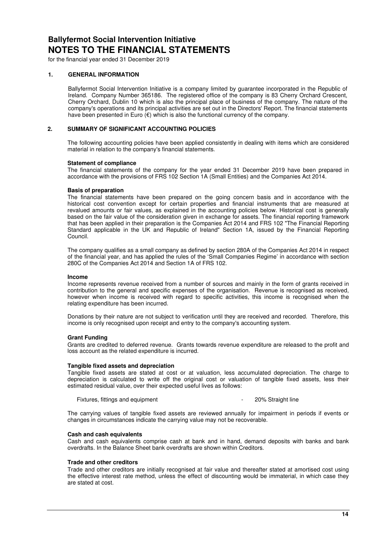for the financial year ended 31 December 2019

#### **1. GENERAL INFORMATION**

Ballyfermot Social Intervention Initiative is a company limited by guarantee incorporated in the Republic of Ireland. Company Number 365186. The registered office of the company is 83 Cherry Orchard Crescent, Cherry Orchard, Dublin 10 which is also the principal place of business of the company. The nature of the company's operations and its principal activities are set out in the Directors' Report. The financial statements have been presented in Euro  $(\epsilon)$  which is also the functional currency of the company.

#### **2. SUMMARY OF SIGNIFICANT ACCOUNTING POLICIES**

The following accounting policies have been applied consistently in dealing with items which are considered material in relation to the company's financial statements.

#### **Statement of compliance**

The financial statements of the company for the year ended 31 December 2019 have been prepared in accordance with the provisions of FRS 102 Section 1A (Small Entities) and the Companies Act 2014.

#### **Basis of preparation**

The financial statements have been prepared on the going concern basis and in accordance with the historical cost convention except for certain properties and financial instruments that are measured at revalued amounts or fair values, as explained in the accounting policies below. Historical cost is generally based on the fair value of the consideration given in exchange for assets. The financial reporting framework that has been applied in their preparation is the Companies Act 2014 and FRS 102 "The Financial Reporting Standard applicable in the UK and Republic of Ireland" Section 1A, issued by the Financial Reporting Council.

The company qualifies as a small company as defined by section 280A of the Companies Act 2014 in respect of the financial year, and has applied the rules of the 'Small Companies Regime' in accordance with section 280C of the Companies Act 2014 and Section 1A of FRS 102.

#### **Income**

Income represents revenue received from a number of sources and mainly in the form of grants received in contribution to the general and specific expenses of the organisation. Revenue is recognised as received, however when income is received with regard to specific activities, this income is recognised when the relating expenditure has been incurred.

Donations by their nature are not subject to verification until they are received and recorded. Therefore, this income is only recognised upon receipt and entry to the company's accounting system.

#### **Grant Funding**

Grants are credited to deferred revenue. Grants towards revenue expenditure are released to the profit and loss account as the related expenditure is incurred.

#### **Tangible fixed assets and depreciation**

Tangible fixed assets are stated at cost or at valuation, less accumulated depreciation. The charge to depreciation is calculated to write off the original cost or valuation of tangible fixed assets, less their estimated residual value, over their expected useful lives as follows:

Fixtures, fittings and equipment Theorem 1999 Contract the 20% Straight line

The carrying values of tangible fixed assets are reviewed annually for impairment in periods if events or changes in circumstances indicate the carrying value may not be recoverable.

#### **Cash and cash equivalents**

Cash and cash equivalents comprise cash at bank and in hand, demand deposits with banks and bank overdrafts. In the Balance Sheet bank overdrafts are shown within Creditors.

#### **Trade and other creditors**

Trade and other creditors are initially recognised at fair value and thereafter stated at amortised cost using the effective interest rate method, unless the effect of discounting would be immaterial, in which case they are stated at cost.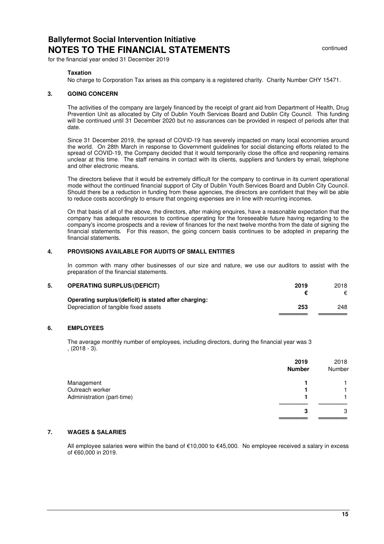for the financial year ended 31 December 2019

#### **Taxation**

No charge to Corporation Tax arises as this company is a registered charity. Charity Number CHY 15471.

#### **3. GOING CONCERN**

The activities of the company are largely financed by the receipt of grant aid from Department of Health, Drug Prevention Unit as allocated by City of Dublin Youth Services Board and Dublin City Council. This funding will be continued until 31 December 2020 but no assurances can be provided in respect of periods after that date.

Since 31 December 2019, the spread of COVID-19 has severely impacted on many local economies around the world. On 28th March in response to Government guidelines for social distancing efforts related to the spread of COVID-19, the Company decided that it would temporarily close the office and reopening remains unclear at this time. The staff remains in contact with its clients, suppliers and funders by email, telephone and other electronic means.

The directors believe that it would be extremely difficult for the company to continue in its current operational mode without the continued financial support of City of Dublin Youth Services Board and Dublin City Council. Should there be a reduction in funding from these agencies, the directors are confident that they will be able to reduce costs accordingly to ensure that ongoing expenses are in line with recurring incomes.

On that basis of all of the above, the directors, after making enquires, have a reasonable expectation that the company has adequate resources to continue operating for the foreseeable future having regarding to the company's income prospects and a review of finances for the next twelve months from the date of signing the financial statements. For this reason, the going concern basis continues to be adopted in preparing the financial statements.

#### **4. PROVISIONS AVAILABLE FOR AUDITS OF SMALL ENTITIES**

In common with many other businesses of our size and nature, we use our auditors to assist with the preparation of the financial statements.

| <b>OPERATING SURPLUS/(DEFICIT)</b>                    | 2019 | 2018 |
|-------------------------------------------------------|------|------|
|                                                       |      |      |
| Operating surplus/(deficit) is stated after charging: |      |      |
| Depreciation of tangible fixed assets                 | 253  | 248  |
|                                                       |      |      |

#### **6. EMPLOYEES**

The average monthly number of employees, including directors, during the financial year was 3 , (2018 - 3).

|                            | 2019<br><b>Number</b> | 2018<br>Number |
|----------------------------|-----------------------|----------------|
| Management                 |                       |                |
| Outreach worker            |                       |                |
| Administration (part-time) |                       |                |
|                            |                       | 3              |
|                            |                       |                |

#### **7. WAGES & SALARIES**

All employee salaries were within the band of €10,000 to €45,000. No employee received a salary in excess of €60,000 in 2019.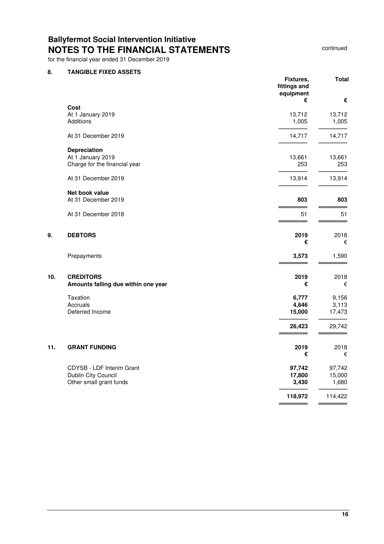### for the financial year ended 31 December 2019

#### **8. TANGIBLE FIXED ASSETS**

|     |                                     | Fixtures,<br>fittings and<br>equipment<br>€ | <b>Total</b><br>€ |
|-----|-------------------------------------|---------------------------------------------|-------------------|
|     | Cost                                |                                             |                   |
|     | At 1 January 2019                   | 13,712                                      | 13,712            |
|     | Additions                           | 1,005                                       | 1,005             |
|     | At 31 December 2019                 | 14,717                                      | 14,717            |
|     | Depreciation                        |                                             |                   |
|     | At 1 January 2019                   | 13,661                                      | 13,661            |
|     | Charge for the financial year       | 253                                         | 253               |
|     | At 31 December 2019                 | 13,914                                      | 13,914            |
|     | Net book value                      |                                             |                   |
|     | At 31 December 2019                 | 803                                         | 803               |
|     | At 31 December 2018                 | 51                                          | 51                |
| 9.  | <b>DEBTORS</b>                      | 2019<br>€                                   | 2018<br>€         |
|     |                                     |                                             |                   |
|     | Prepayments                         | 3,573                                       | 1,590             |
| 10. | <b>CREDITORS</b>                    | 2019                                        | 2018              |
|     | Amounts falling due within one year | €                                           | €                 |
|     | Taxation                            | 6,777                                       | 9,156             |
|     | Accruals                            | 4,646                                       | 3,113             |
|     | Deferred Income                     | 15,000                                      | 17,473            |
|     |                                     | 26,423                                      | 29,742            |
| 11. | <b>GRANT FUNDING</b>                | 2019                                        | 2018              |
|     |                                     | €                                           | €                 |
|     | CDYSB - LDF Interim Grant           | 97,742                                      | 97,742            |
|     | Dublin City Council                 | 17,800                                      | 15,000            |
|     | Other small grant funds             | 3,430                                       | 1,680             |
|     |                                     | 118,972                                     | 114,422           |
|     |                                     |                                             |                   |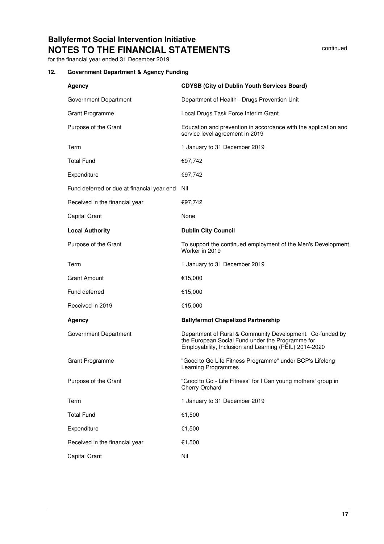for the financial year ended 31 December 2019

### **12. Government Department & Agency Funding**

| <b>Agency</b>                              | <b>CDYSB (City of Dublin Youth Services Board)</b>                                                                                                                      |
|--------------------------------------------|-------------------------------------------------------------------------------------------------------------------------------------------------------------------------|
| Government Department                      | Department of Health - Drugs Prevention Unit                                                                                                                            |
| <b>Grant Programme</b>                     | Local Drugs Task Force Interim Grant                                                                                                                                    |
| Purpose of the Grant                       | Education and prevention in accordance with the application and<br>service level agreement in 2019                                                                      |
| Term                                       | 1 January to 31 December 2019                                                                                                                                           |
| <b>Total Fund</b>                          | €97,742                                                                                                                                                                 |
| Expenditure                                | €97,742                                                                                                                                                                 |
| Fund deferred or due at financial year end | Nil                                                                                                                                                                     |
| Received in the financial year             | €97,742                                                                                                                                                                 |
| Capital Grant                              | None                                                                                                                                                                    |
| <b>Local Authority</b>                     | <b>Dublin City Council</b>                                                                                                                                              |
| Purpose of the Grant                       | To support the continued employment of the Men's Development<br>Worker in 2019                                                                                          |
| Term                                       | 1 January to 31 December 2019                                                                                                                                           |
| <b>Grant Amount</b>                        | €15,000                                                                                                                                                                 |
| Fund deferred                              | €15,000                                                                                                                                                                 |
| Received in 2019                           | €15,000                                                                                                                                                                 |
| <b>Agency</b>                              | <b>Ballyfermot Chapelizod Partnership</b>                                                                                                                               |
| Government Department                      | Department of Rural & Community Development. Co-funded by<br>the European Social Fund under the Programme for<br>Employability, Inclusion and Learning (PEIL) 2014-2020 |
| <b>Grant Programme</b>                     | "Good to Go Life Fitness Programme" under BCP's Lifelong<br>Learning Programmes                                                                                         |
| Purpose of the Grant                       | "Good to Go - Life Fitness" for I Can young mothers' group in<br><b>Cherry Orchard</b>                                                                                  |
| Term                                       | 1 January to 31 December 2019                                                                                                                                           |
| <b>Total Fund</b>                          | €1,500                                                                                                                                                                  |
| Expenditure                                | €1,500                                                                                                                                                                  |
| Received in the financial year             | €1,500                                                                                                                                                                  |
| Capital Grant                              | Nil                                                                                                                                                                     |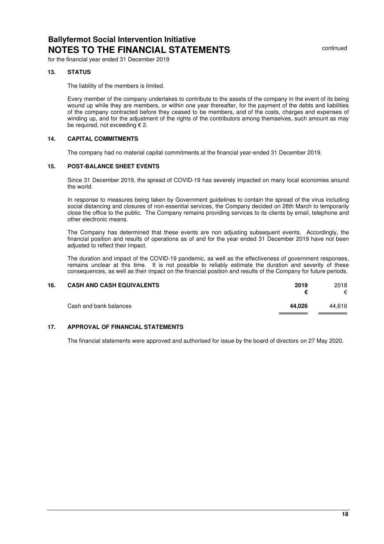for the financial year ended 31 December 2019

#### **13. STATUS**

The liability of the members is limited.

Every member of the company undertakes to contribute to the assets of the company in the event of its being wound up while they are members, or within one year thereafter, for the payment of the debts and liabilities of the company contracted before they ceased to be members, and of the costs, charges and expenses of winding up, and for the adjustment of the rights of the contributors among themselves, such amount as may be required, not exceeding € 2.

#### **14. CAPITAL COMMITMENTS**

The company had no material capital commitments at the financial year-ended 31 December 2019.

#### **15. POST-BALANCE SHEET EVENTS**

Since 31 December 2019, the spread of COVID-19 has severely impacted on many local economies around the world.

In response to measures being taken by Government guidelines to contain the spread of the virus including social distancing and closures of non-essential services, the Company decided on 28th March to temporarily close the office to the public. The Company remains providing services to its clients by email, telephone and other electronic means.

The Company has determined that these events are non adjusting subsequent events. Accordingly, the financial position and results of operations as of and for the year ended 31 December 2019 have not been adjusted to reflect their impact.

The duration and impact of the COVID-19 pandemic, as well as the effectiveness of government responses, remains unclear at this time. It is not possible to reliably estimate the duration and severity of these consequences, as well as their impact on the financial position and results of the Company for future periods.

| 16. | <b>CASH AND CASH EQUIVALENTS</b> | 2019   | 2018<br>€ |
|-----|----------------------------------|--------|-----------|
|     | Cash and bank balances           | 44.026 | 44.616    |

#### **17. APPROVAL OF FINANCIAL STATEMENTS**

The financial statements were approved and authorised for issue by the board of directors on 27 May 2020.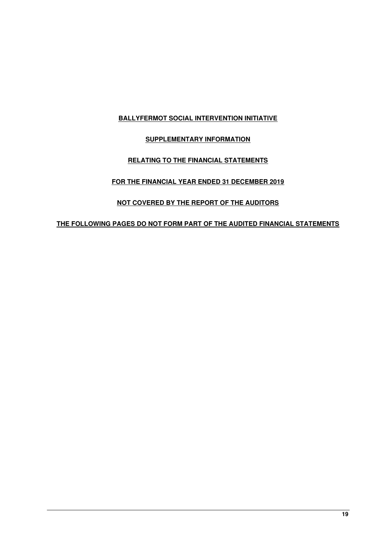### **BALLYFERMOT SOCIAL INTERVENTION INITIATIVE**

### **SUPPLEMENTARY INFORMATION**

### **RELATING TO THE FINANCIAL STATEMENTS**

### **FOR THE FINANCIAL YEAR ENDED 31 DECEMBER 2019**

### **NOT COVERED BY THE REPORT OF THE AUDITORS**

### **THE FOLLOWING PAGES DO NOT FORM PART OF THE AUDITED FINANCIAL STATEMENTS**